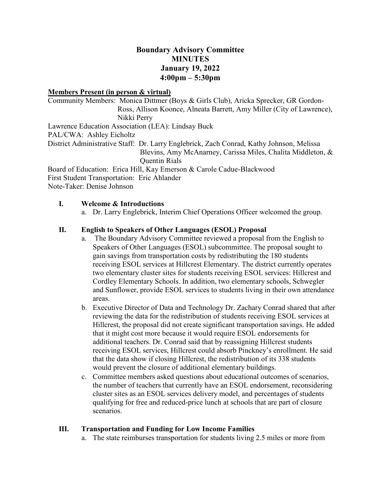# **Boundary Advisory Committee MINUTES January 19, 2022 4:00pm – 5:30pm**

#### **Members Present (in person & virtual)**

Community Members: Monica Dittmer (Boys & Girls Club), Aricka Sprecker, GR Gordon-Ross, Allison Koonce, Alneata Barrett, Amy Miller (City of Lawrence), Nikki Perry Lawrence Education Association (LEA): Lindsay Buck PAL/CWA: Ashley Eicholtz District Administrative Staff: Dr. Larry Englebrick, Zach Conrad, Kathy Johnson, Melissa Blevins, Amy McAnarney, Carissa Miles, Chalita Middleton, & Quentin Rials Board of Education: Erica Hill, Kay Emerson & Carole Cadue-Blackwood

First Student Transportation: Eric Ahlander

Note-Taker: Denise Johnson

### **I. Welcome & Introductions**

a. Dr. Larry Englebrick, Interim Chief Operations Officer welcomed the group.

### **II. English to Speakers of Other Languages (ESOL) Proposal**

- a. The Boundary Advisory Committee reviewed a proposal from the English to Speakers of Other Languages (ESOL) subcommittee. The proposal sought to gain savings from transportation costs by redistributing the 180 students receiving ESOL services at Hillcrest Elementary. The district currently operates two elementary cluster sites for students receiving ESOL services: Hillcrest and Cordley Elementary Schools. In addition, two elementary schools, Schwegler and Sunflower, provide ESOL services to students living in their own attendance areas.
- b. Executive Director of Data and Technology Dr. Zachary Conrad shared that after reviewing the data for the redistribution of students receiving ESOL services at Hillcrest, the proposal did not create significant transportation savings. He added that it might cost more because it would require ESOL endorsements for additional teachers. Dr. Conrad said that by reassigning Hillcrest students receiving ESOL services, Hillcrest could absorb Pinckney's enrollment. He said that the data show if closing Hillcrest, the redistribution of its 338 students would prevent the closure of additional elementary buildings.
- c. Committee members asked questions about educational outcomes of scenarios, the number of teachers that currently have an ESOL endorsement, reconsidering cluster sites as an ESOL services delivery model, and percentages of students qualifying for free and reduced-price lunch at schools that are part of closure scenarios.

## **III. Transportation and Funding for Low Income Families**

a. The state reimburses transportation for students living 2.5 miles or more from